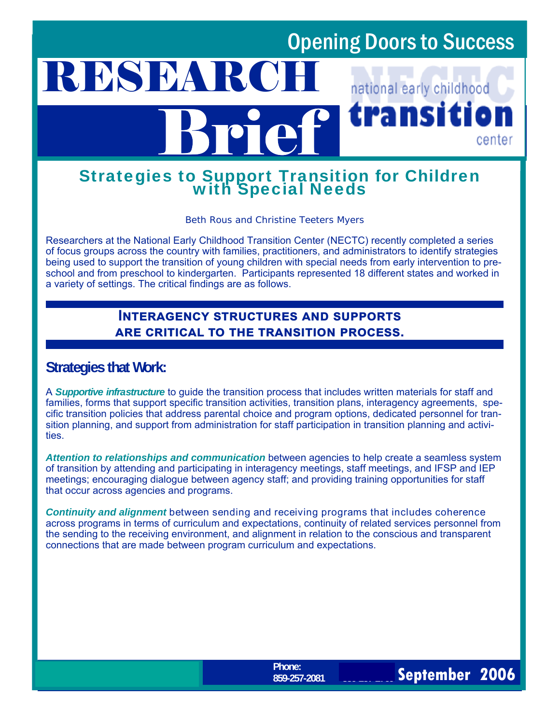# Opening Doors to Success

## **RESEARC** national early childhood transiti Brief center

# Strategies to Support Transition for Children with Special Needs

*Beth Rous and Christine Teeters Myers* 

Researchers at the National Early Childhood Transition Center (NECTC) recently completed a series of focus groups across the country with families, practitioners, and administrators to identify strategies being used to support the transition of young children with special needs from early intervention to preschool and from preschool to kindergarten. Participants represented 18 different states and worked in a variety of settings. The critical findings are as follows.

### **INTERAGENCY STRUCTURES AND SUPPORTS ARE CRITICAL TO THE TRANSITION PROCESS.**

### **Strategies that Work:**

A *Supportive infrastructure* to guide the transition process that includes written materials for staff and families, forms that support specific transition activities, transition plans, interagency agreements, specific transition policies that address parental choice and program options, dedicated personnel for transition planning, and support from administration for staff participation in transition planning and activities.

*Attention to relationships and communication* between agencies to help create a seamless system of transition by attending and participating in interagency meetings, staff meetings, and IFSP and IEP meetings; encouraging dialogue between agency staff; and providing training opportunities for staff that occur across agencies and programs.

*Continuity and alignment* between sending and receiving programs that includes coherence across programs in terms of curriculum and expectations, continuity of related services personnel from the sending to the receiving environment, and alignment in relation to the conscious and transparent connections that are made between program curriculum and expectations.

**859-257-2769** 

**September 2006**